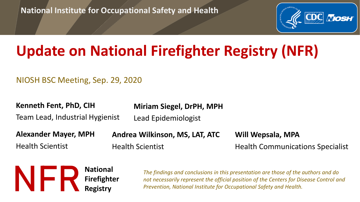**National Institute for Occupational Safety and Health**



# **Update on National Firefighter Registry (NFR)**

NIOSH BSC Meeting, Sep. 29, 2020

**Kenneth Fent, PhD, CIH**

**Miriam Siegel, DrPH, MPH**

Team Lead, Industrial Hygienist

Lead Epidemiologist

**Alexander Mayer, MPH** Health Scientist

**Andrea Wilkinson, MS, LAT, ATC** Health Scientist

**Will Wepsala, MPA** Health Communications Specialist



*The findings and conclusions in this presentation are those of the authors and do not necessarily represent the official position of the Centers for Disease Control and Prevention, National Institute for Occupational Safety and Health.*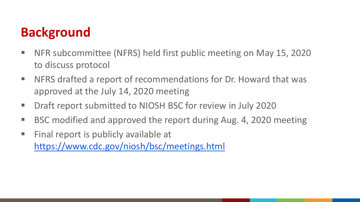### **Background**

- NFR subcommittee (NFRS) held first public meeting on May 15, 2020 to discuss protocol
- NFRS drafted a report of recommendations for Dr. Howard that was approved at the July 14, 2020 meeting
- Draft report submitted to NIOSH BSC for review in July 2020
- BSC modified and approved the report during Aug. 4, 2020 meeting
- Final report is publicly available at <https://www.cdc.gov/niosh/bsc/meetings.html>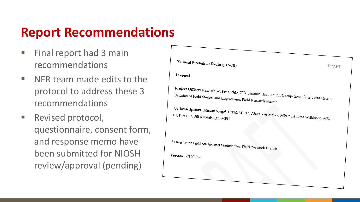#### **Report Recommendations**

- Final report had 3 main recommendations
- NFR team made edits to the protocol to address these 3 recommendations
- Revised protocol, questionnaire, consent form, and response memo have been submitted for NIOSH review/approval (pending)

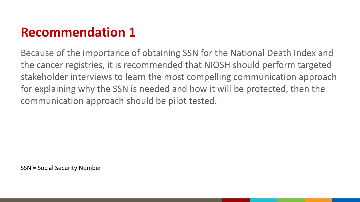### **Recommendation 1**

Because of the importance of obtaining SSN for the National Death Index and the cancer registries, it is recommended that NIOSH should perform targeted stakeholder interviews to learn the most compelling communication approach for explaining why the SSN is needed and how it will be protected, then the communication approach should be pilot tested.

SSN = Social Security Number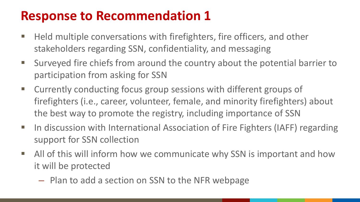- Held multiple conversations with firefighters, fire officers, and other stakeholders regarding SSN, confidentiality, and messaging
- Surveyed fire chiefs from around the country about the potential barrier to participation from asking for SSN
- Currently conducting focus group sessions with different groups of firefighters (i.e., career, volunteer, female, and minority firefighters) about the best way to promote the registry, including importance of SSN
- In discussion with International Association of Fire Fighters (IAFF) regarding support for SSN collection
- All of this will inform how we communicate why SSN is important and how it will be protected
	- Plan to add a section on SSN to the NFR webpage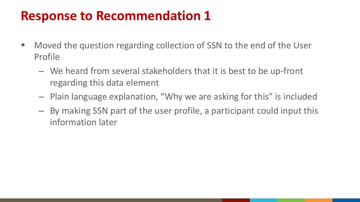- Moved the question regarding collection of SSN to the end of the User Profile
	- We heard from several stakeholders that it is best to be up-front regarding this data element
	- Plain language explanation, "Why we are asking for this" is included
	- By making SSN part of the user profile, a participant could input this information later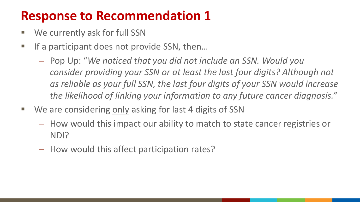- We currently ask for full SSN
- If a participant does not provide SSN, then...
	- Pop Up: "*We noticed that you did not include an SSN. Would you consider providing your SSN or at least the last four digits? Although not as reliable as your full SSN, the last four digits of your SSN would increase the likelihood of linking your information to any future cancer diagnosis."*
- We are considering only asking for last 4 digits of SSN
	- How would this impact our ability to match to state cancer registries or NDI?
	- How would this affect participation rates?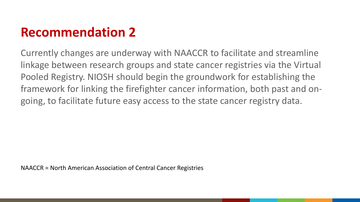### **Recommendation 2**

Currently changes are underway with NAACCR to facilitate and streamline linkage between research groups and state cancer registries via the Virtual Pooled Registry. NIOSH should begin the groundwork for establishing the framework for linking the firefighter cancer information, both past and ongoing, to facilitate future easy access to the state cancer registry data.

NAACCR = North American Association of Central Cancer Registries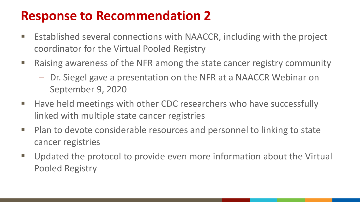- Established several connections with NAACCR, including with the project coordinator for the Virtual Pooled Registry
- Raising awareness of the NFR among the state cancer registry community
	- Dr. Siegel gave a presentation on the NFR at a NAACCR Webinar on September 9, 2020
- Have held meetings with other CDC researchers who have successfully linked with multiple state cancer registries
- Plan to devote considerable resources and personnel to linking to state cancer registries
- Updated the protocol to provide even more information about the Virtual Pooled Registry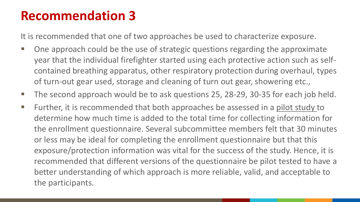#### **Recommendation 3**

It is recommended that one of two approaches be used to characterize exposure.

- One approach could be the use of strategic questions regarding the approximate year that the individual firefighter started using each protective action such as selfcontained breathing apparatus, other respiratory protection during overhaul, types of turn-out gear used, storage and cleaning of turn out gear, showering etc.,
- The second approach would be to ask questions 25, 28-29, 30-35 for each job held.
- Further, it is recommended that both approaches be assessed in a pilot study to determine how much time is added to the total time for collecting information for the enrollment questionnaire. Several subcommittee members felt that 30 minutes or less may be ideal for completing the enrollment questionnaire but that this exposure/protection information was vital for the success of the study. Hence, it is recommended that different versions of the questionnaire be pilot tested to have a better understanding of which approach is more reliable, valid, and acceptable to the participants.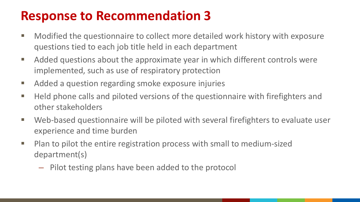- Modified the questionnaire to collect more detailed work history with exposure questions tied to each job title held in each department
- **Added questions about the approximate year in which different controls were** implemented, such as use of respiratory protection
- **Added a question regarding smoke exposure injuries**
- **Held phone calls and piloted versions of the questionnaire with firefighters and** other stakeholders
- Web-based questionnaire will be piloted with several firefighters to evaluate user experience and time burden
- Plan to pilot the entire registration process with small to medium-sized department(s)
	- Pilot testing plans have been added to the protocol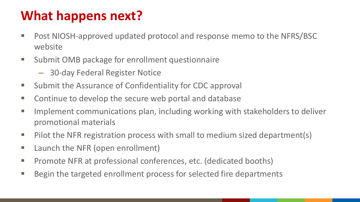## **What happens next?**

- Post NIOSH-approved updated protocol and response memo to the NFRS/BSC website
- **Submit OMB package for enrollment questionnaire** 
	- 30-day Federal Register Notice
- **Submit the Assurance of Confidentiality for CDC approval**
- **E** Continue to develop the secure web portal and database
- **IMPLEMENT COMMUNICATIONS plan, including working with stakeholders to deliver** promotional materials
- Pilot the NFR registration process with small to medium sized department(s)
- **E** Launch the NFR (open enrollment)
- **Promote NFR at professional conferences, etc. (dedicated booths)**
- Begin the targeted enrollment process for selected fire departments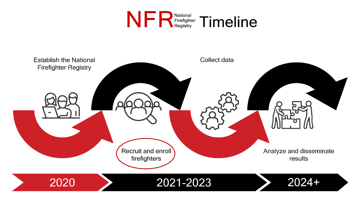